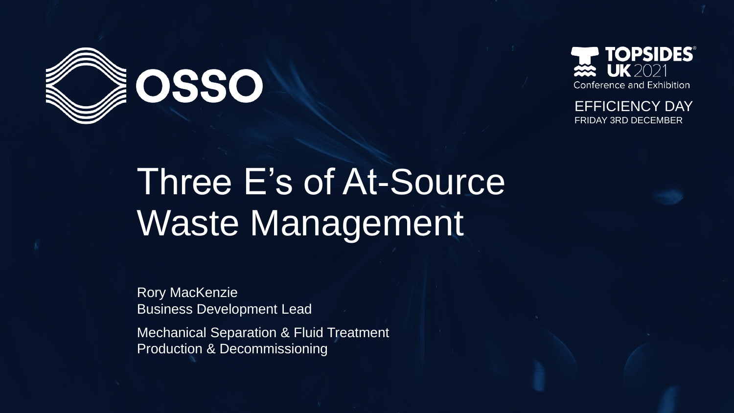



EFFICIENCY DAY FRIDAY 3RD DECEMBER

# Three E's of At-Source Waste Management

Rory MacKenzie Business Development Lead

Mechanical Separation & Fluid Treatment Production & Decommissioning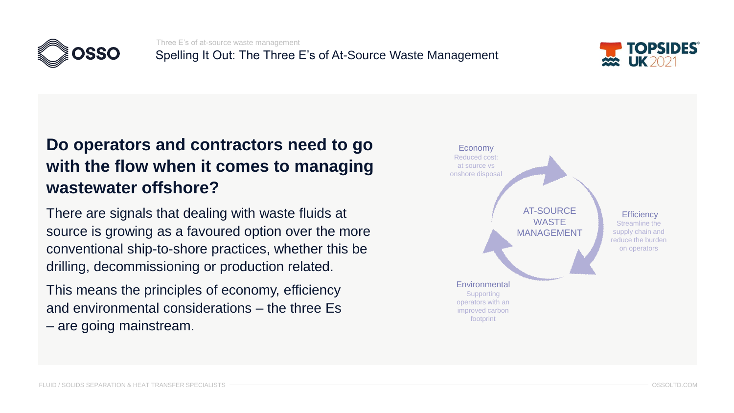

Three E's of at-source waste management Spelling It Out: The Three E's of At-Source Waste Management



# **Do operators and contractors need to go with the flow when it comes to managing wastewater offshore?**

There are signals that dealing with waste fluids at source is growing as a favoured option over the more conventional ship-to-shore practices, whether this be drilling, decommissioning or production related.

This means the principles of economy, efficiency and environmental considerations – the three Es – are going mainstream.

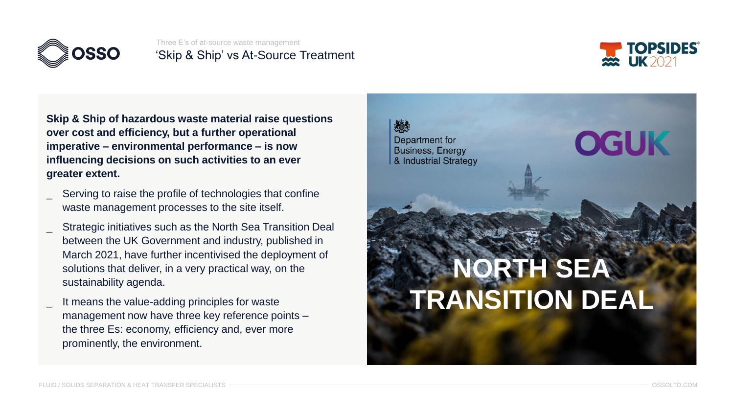

Three E's of at-source waste management 'Skip & Ship' vs At-Source Treatment



**Skip & Ship of hazardous waste material raise questions over cost and efficiency, but a further operational imperative – environmental performance – is now influencing decisions on such activities to an ever greater extent.** 

- Serving to raise the profile of technologies that confine waste management processes to the site itself.
- Strategic initiatives such as the North Sea Transition Deal between the UK Government and industry, published in March 2021, have further incentivised the deployment of solutions that deliver, in a very practical way, on the sustainability agenda.
- It means the value-adding principles for waste management now have three key reference points – the three Es: economy, efficiency and, ever more prominently, the environment.

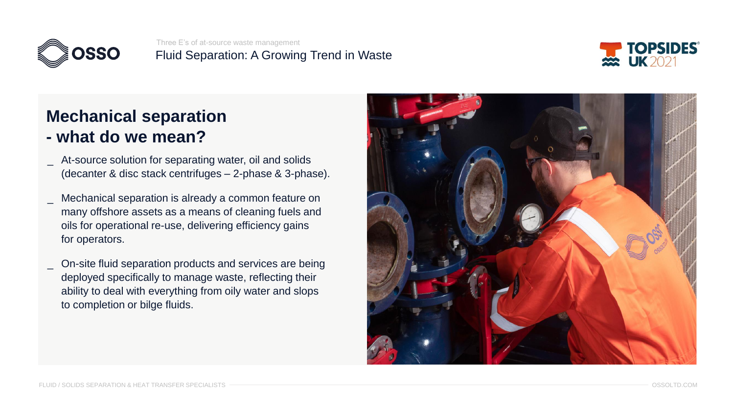

Three E's of at-source waste management Fluid Separation: A Growing Trend in Waste



# **Mechanical separation**

- **- what do we mean?**
- \_ At-source solution for separating water, oil and solids (decanter & disc stack centrifuges – 2-phase & 3-phase).
- Mechanical separation is already a common feature on many offshore assets as a means of cleaning fuels and oils for operational re-use, delivering efficiency gains for operators.
- \_ On-site fluid separation products and services are being deployed specifically to manage waste, reflecting their ability to deal with everything from oily water and slops to completion or bilge fluids.

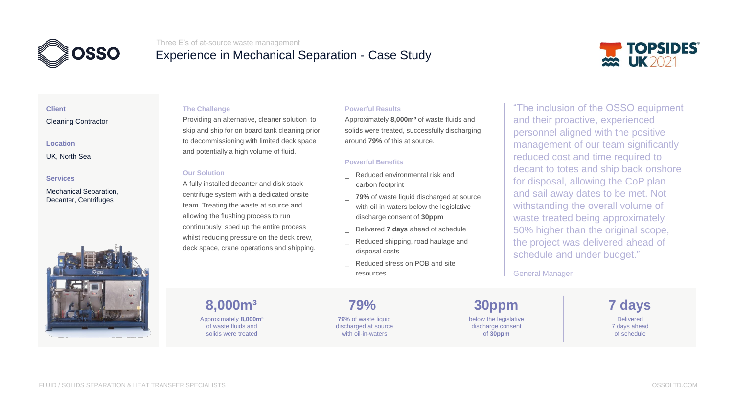

#### Three E's of at-source waste management

## Experience in Mechanical Separation - Case Study



### **Client**

#### Cleaning Contractor

#### **Location**

UK, North Sea

#### **Services**

#### Mechanical Separation, Decanter, Centrifuges



#### **The Challenge**

Providing an alternative, cleaner solution to skip and ship for on board tank cleaning prior to decommissioning with limited deck space and potentially a high volume of fluid.

#### **Our Solution**

A fully installed decanter and disk stack centrifuge system with a dedicated onsite team. Treating the waste at source and allowing the flushing process to run continuously sped up the entire process whilst reducing pressure on the deck crew, deck space, crane operations and shipping.

#### **Powerful Results**

Approximately **8,000m³** of waste fluids and solids were treated, successfully discharging around **79%** of this at source.

#### **Powerful Benefits**

- Reduced environmental risk and carbon footprint
- **79%** of waste liquid discharged at source with oil-in-waters below the legislative discharge consent of **30ppm**
- \_ Delivered **7 days** ahead of schedule
- Reduced shipping, road haulage and disposal costs
- Reduced stress on POB and site resources

"The inclusion of the OSSO equipment and their proactive, experienced personnel aligned with the positive management of our team significantly reduced cost and time required to decant to totes and ship back onshore for disposal, allowing the CoP plan and sail away dates to be met. Not withstanding the overall volume of waste treated being approximately 50% higher than the original scope, the project was delivered ahead of schedule and under budget."

#### General Manager

Approximately **8,000m³** of waste fluids and solids were treated **8,000m³ 79% 30ppm**

**79%** of waste liquid discharged at source with oil-in-waters

below the legislative discharge consent of **30ppm**

**Delivered** 7 days ahead of schedule **7 days**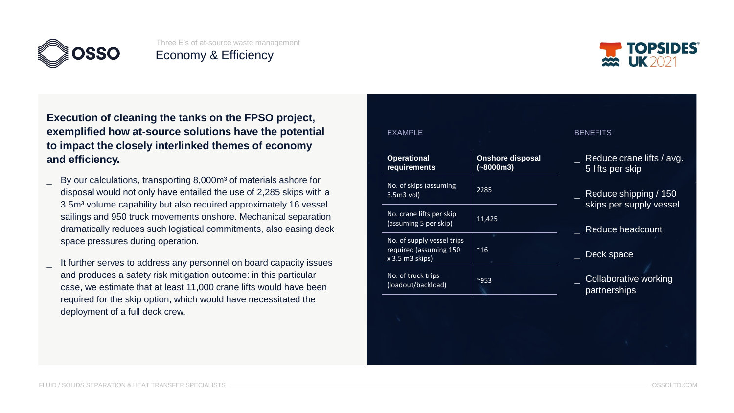



**Execution of cleaning the tanks on the FPSO project, exemplified how at-source solutions have the potential to impact the closely interlinked themes of economy**  and efficiency.

- By our calculations, transporting 8,000m<sup>3</sup> of materials ashore for disposal would not only have entailed the use of 2,285 skips with a 3.5m<sup>3</sup> volume capability but also required approximately 16 vessel sailings and 950 truck movements onshore. Mechanical separation dramatically reduces such logistical commitments, also easing deck space pressures during operation.
- It further serves to address any personnel on board capacity issues and produces a safety risk mitigation outcome: in this particular case, we estimate that at least 11,000 crane lifts would have been required for the skip option, which would have necessitated the deployment of a full deck crew.

| <b>EXAMPLE</b>                                                            |                                        | <b>BENEFITS</b>                                  |
|---------------------------------------------------------------------------|----------------------------------------|--------------------------------------------------|
| <b>Operational</b><br>requirements                                        | <b>Onshore disposal</b><br>$(-8000m3)$ | Reduce crane lifts / avg.<br>5 lifts per skip    |
| No. of skips (assuming<br>$3.5m3$ vol)                                    | 2285                                   | Reduce shipping / 150<br>skips per supply vessel |
| No. crane lifts per skip<br>(assuming 5 per skip)                         | 11,425                                 | Reduce headcount                                 |
| No. of supply vessel trips<br>required (assuming 150<br>$x$ 3.5 m3 skips) | $^{\sim}16$                            | Deck space                                       |
| No. of truck trips<br>(loadout/backload)                                  | $^{\sim}953$                           | <b>Collaborative working</b><br>partnerships     |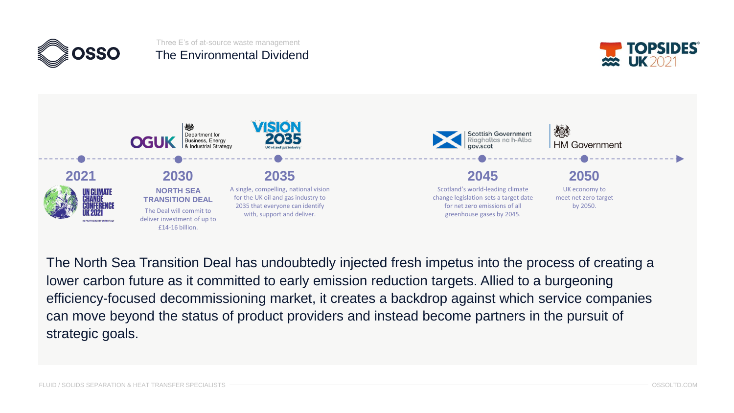

## Three E's of at-source waste management The Environmental Dividend





The North Sea Transition Deal has undoubtedly injected fresh impetus into the process of creating a lower carbon future as it committed to early emission reduction targets. Allied to a burgeoning efficiency-focused decommissioning market, it creates a backdrop against which service companies can move beyond the status of product providers and instead become partners in the pursuit of strategic goals.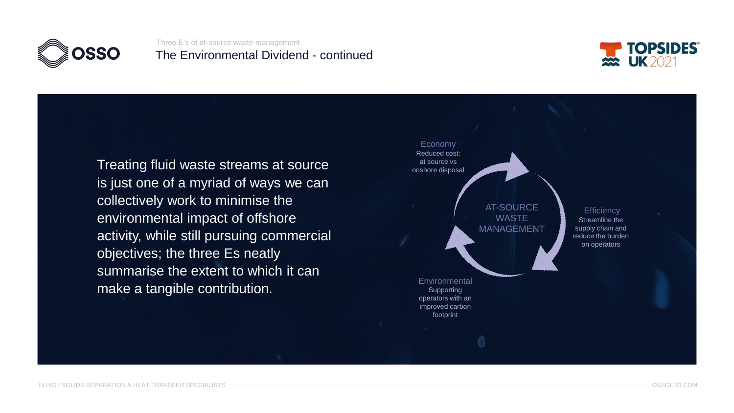

Three E's of at-source waste management The Environmental Dividend - continued



Treating fluid waste streams at source is just one of a myriad of ways we can collectively work to minimise the environmental impact of offshore activity, while still pursuing commercial objectives; the three Es neatly summarise the extent to which it can make a tangible contribution.